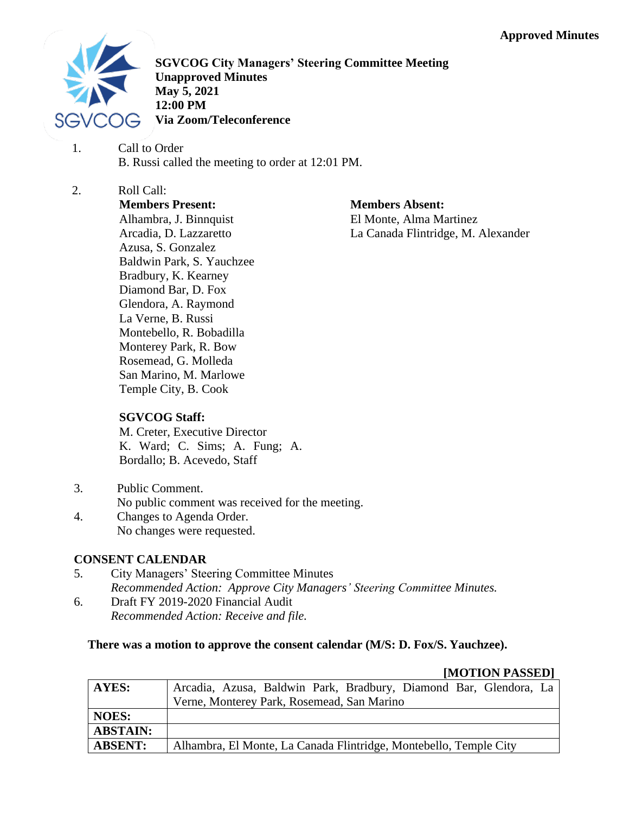

**SGVCOG City Managers' Steering Committee Meeting Unapproved Minutes May 5, 2021 12:00 PM Via Zoom/Teleconference**

1. Call to Order B. Russi called the meeting to order at 12:01 PM.

#### 2. Roll Call: **Members Present:** Alhambra, J. Binnquist Arcadia, D. Lazzaretto Azusa, S. Gonzalez Baldwin Park, S. Yauchzee Bradbury, K. Kearney Diamond Bar, D. Fox Glendora, A. Raymond La Verne, B. Russi Montebello, R. Bobadilla Monterey Park, R. Bow Rosemead, G. Molleda San Marino, M. Marlowe Temple City, B. Cook

**Members Absent:**

El Monte, Alma Martinez La Canada Flintridge, M. Alexander

## **SGVCOG Staff:**

M. Creter, Executive Director K. Ward; C. Sims; A. Fung; A. Bordallo; B. Acevedo, Staff

- 3. Public Comment. No public comment was received for the meeting.
- 4. Changes to Agenda Order. No changes were requested.

# **CONSENT CALENDAR**

- 5. City Managers' Steering Committee Minutes *Recommended Action: Approve City Managers' Steering Committee Minutes.*
- 6. Draft FY 2019-2020 Financial Audit *Recommended Action: Receive and file.*

## **There was a motion to approve the consent calendar (M/S: D. Fox/S. Yauchzee).**

## **[MOTION PASSED]**

| <b>AYES:</b>    | Arcadia, Azusa, Baldwin Park, Bradbury, Diamond Bar, Glendora, La |
|-----------------|-------------------------------------------------------------------|
|                 | Verne, Monterey Park, Rosemead, San Marino                        |
| <b>NOES:</b>    |                                                                   |
| <b>ABSTAIN:</b> |                                                                   |
| <b>ABSENT:</b>  | Alhambra, El Monte, La Canada Flintridge, Montebello, Temple City |